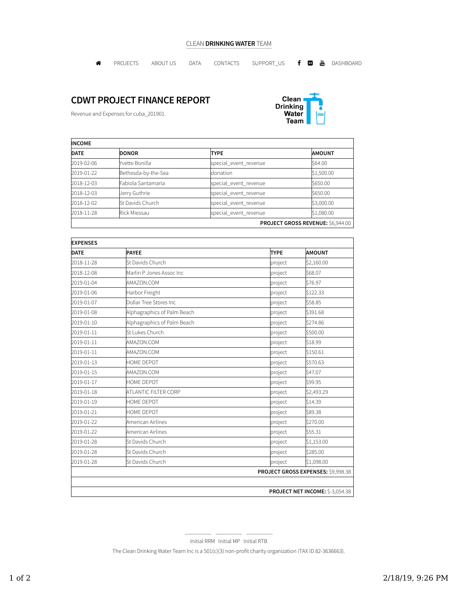## CLEAN DRINKING WATER TEAM

PROJECTS ABOUT US DATA CONTACTS SUPPORT\_US DASHBOARD

## CDWT PROJECT FINANCE REPORT

Revenue and Expenses for cuba\_201901.



| <b>INCOME</b> |                     |                       |                                   |  |
|---------------|---------------------|-----------------------|-----------------------------------|--|
| <b>DATE</b>   | <b>DONOR</b>        | <b>TYPE</b>           | <b>AMOUNT</b>                     |  |
| 2019-02-06    | Yvette Bonilla      | special_event_revenue | \$64.00                           |  |
| 2019-01-22    | Bethesda-by-the-Sea | donation              | \$1,500.00                        |  |
| 2018-12-03    | Fabiola Santamaria  | special_event_revenue | \$650.00                          |  |
| 2018-12-03    | Jerry Guthrie       | special_event_revenue | \$650.00                          |  |
| 2018-12-02    | St Davids Church    | special_event_revenue | \$3,000.00                        |  |
| 2018-11-28    | <b>Rick Miessau</b> | special_event_revenue | \$1,080.00                        |  |
|               |                     |                       | PROJECT GROSS REVENUE: \$6,944.00 |  |

| <b>EXPENSES</b> |                             |                                    |               |
|-----------------|-----------------------------|------------------------------------|---------------|
| <b>DATE</b>     | <b>PAYEE</b>                | <b>TYPE</b>                        | <b>AMOUNT</b> |
| 2018-11-28      | St Davids Church            | project                            | \$2,160.00    |
| 2018-12-08      | Marlin P Jones Assoc Inc    | project                            | \$68.07       |
| 2019-01-04      | AMAZON.COM                  | project                            | \$76.97       |
| 2019-01-06      | Harbor Freight              | project                            | \$122.33      |
| 2019-01-07      | Dollar Tree Stores Inc      | project                            | \$58.85       |
| 2019-01-08      | Alphagraphics of Palm Beach | project                            | \$391.68      |
| 2019-01-10      | Alphagraphics of Palm Beach | project                            | \$274.86      |
| 2019-01-11      | St Lukes Church             | project                            | \$500.00      |
| 2019-01-11      | AMAZON.COM                  | project                            | \$18.99       |
| 2019-01-11      | AMAZON.COM                  | project                            | \$150.61      |
| 2019-01-13      | HOME DEPOT                  | project                            | \$570.63      |
| 2019-01-15      | AMAZON.COM                  | project                            | \$47.07       |
| 2019-01-17      | <b>HOME DEPOT</b>           | project                            | \$99.95       |
| 2019-01-18      | ATLANTIC FILTER CORP        | project                            | \$2,493.29    |
| 2019-01-19      | HOME DEPOT                  | project                            | \$14.39       |
| 2019-01-21      | HOME DEPOT                  | project                            | \$89.38       |
| 2019-01-22      | American Airlines           | project                            | \$270.00      |
| 2019-01-22      | American Airlines           | project                            | \$55.31       |
| 2019-01-28      | St Davids Church            | project                            | \$1,153.00    |
| 2019-01-28      | St Davids Church            | project                            | \$285.00      |
| 2019-01-28      | St Davids Church            | project                            | \$1,098.00    |
|                 |                             | PROJECT GROSS EXPENSES: \$9,998.38 |               |
|                 |                             |                                    |               |
|                 |                             | PROJECT NET INCOME: \$-3,054.38    |               |

\_\_\_\_\_\_\_\_\_ \_\_\_\_\_\_\_\_\_ \_\_\_\_\_\_\_\_\_ Initial RRM Initial MP Initial RTB

The Clean Drinking Water Team Inc is a 501(c)(3) non-profit charity organization (TAX ID 82-3636663).